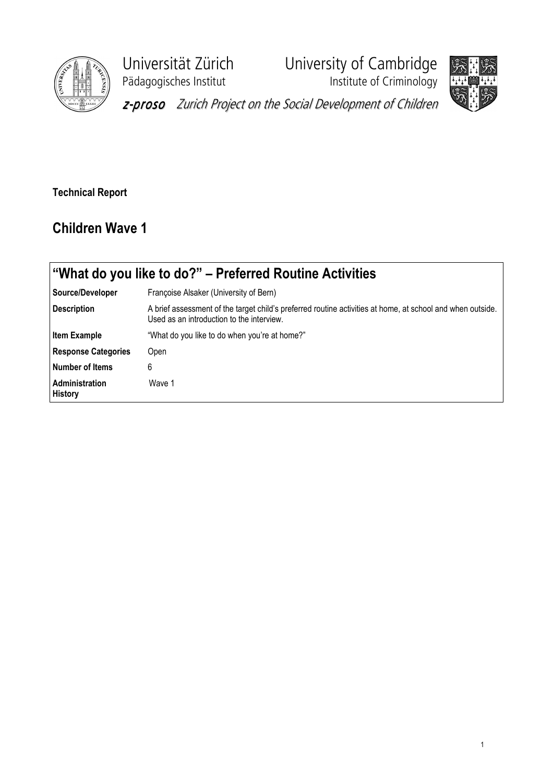

Pädagogisches Institut **Institute of Criminology** 

Universität Zürich University of Cambridge

z-proso Zurich Project on the Social Development of Children

Technical Report

## Children Wave 1

|                                         | "What do you like to do?" – Preferred Routine Activities                                                                                                |  |  |  |  |
|-----------------------------------------|---------------------------------------------------------------------------------------------------------------------------------------------------------|--|--|--|--|
| Source/Developer                        | Françoise Alsaker (University of Bern)                                                                                                                  |  |  |  |  |
| <b>Description</b>                      | A brief assessment of the target child's preferred routine activities at home, at school and when outside.<br>Used as an introduction to the interview. |  |  |  |  |
| Item Example                            | "What do you like to do when you're at home?"                                                                                                           |  |  |  |  |
| <b>Response Categories</b>              | Open                                                                                                                                                    |  |  |  |  |
| <b>Number of Items</b>                  | 6                                                                                                                                                       |  |  |  |  |
| <b>Administration</b><br><b>History</b> | Wave 1                                                                                                                                                  |  |  |  |  |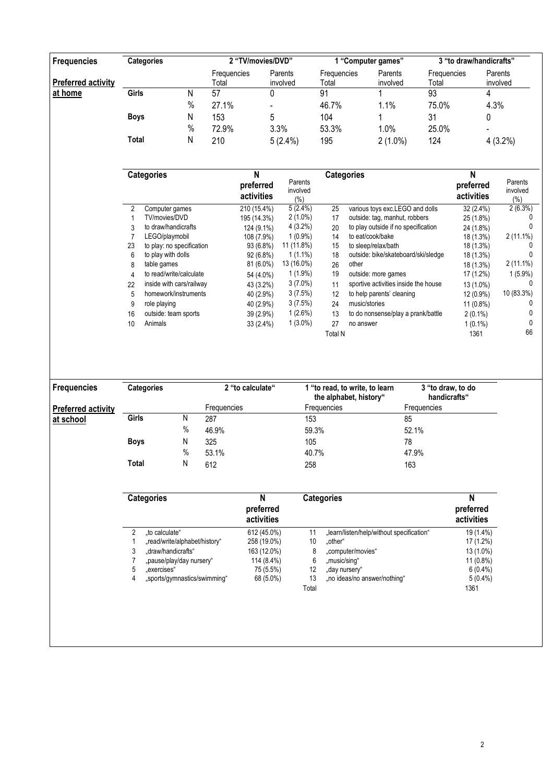| <b>Frequencies</b> |                | <b>Categories</b>         |                      | 2 "TV/movies/DVD"            |                             |                      | 1 "Computer games"                                       |                                   | 3 "to draw/handicrafts"                 |                             |  |
|--------------------|----------------|---------------------------|----------------------|------------------------------|-----------------------------|----------------------|----------------------------------------------------------|-----------------------------------|-----------------------------------------|-----------------------------|--|
| Preferred activity |                |                           | Frequencies<br>Total |                              | Parents<br>involved         | Frequencies<br>Total | Parents<br>involved                                      | Frequencies<br>Total              |                                         | Parents<br>involved         |  |
| at home            | Girls          | Ν                         | $\overline{57}$      | 0                            |                             | $\overline{91}$      |                                                          | 93                                | 4                                       |                             |  |
|                    |                | $\%$                      | 27.1%                |                              |                             | 46.7%                | 1.1%                                                     | 75.0%                             | 4.3%                                    |                             |  |
|                    | <b>Boys</b>    | N                         | 153                  | 5                            |                             | 104                  |                                                          | 31                                | 0                                       |                             |  |
|                    |                | $\%$                      |                      |                              |                             |                      |                                                          |                                   |                                         |                             |  |
|                    |                |                           | 72.9%                |                              | 3.3%                        | 53.3%                | 1.0%                                                     | 25.0%                             |                                         |                             |  |
|                    | <b>Total</b>   | Ν                         | 210                  |                              | 5(2.4%)                     | 195                  | $2(1.0\%)$                                               | 124                               |                                         | $4(3.2\%)$                  |  |
|                    |                |                           |                      |                              |                             |                      |                                                          |                                   |                                         |                             |  |
|                    |                | <b>Categories</b>         |                      | N<br>preferred<br>activities | Parents<br>involved<br>(% ) | <b>Categories</b>    |                                                          |                                   | $\mathsf{N}$<br>preferred<br>activities | Parents<br>involved<br>(% ) |  |
|                    | $\overline{2}$ | Computer games            |                      | 210 (15.4%)                  | $5(2.4\%)$                  | 25                   | various toys exc.LEGO and dolls                          |                                   | 32 (2.4%)                               | 2(6.3%)                     |  |
|                    | 1              | TV/movies/DVD             |                      | 195 (14.3%)                  | $2(1.0\%)$                  | 17                   | outside: tag, manhut, robbers                            |                                   | 25 (1.8%)                               |                             |  |
|                    | 3              | to draw/handicrafts       |                      | 124 (9.1%)                   | 4(3.2%)                     | 20                   | to play outside if no specification                      |                                   | 24 (1.8%)                               |                             |  |
|                    | 7              | LEGO/playmobil            |                      | 108 (7.9%)                   | $1(0.9\%)$                  | 14                   | to eat/cook/bake                                         |                                   | 18 (1.3%)                               | $2(11.1\%)$                 |  |
|                    | 23             | to play: no specification |                      | 93 (6.8%)                    | 11 (11.8%)                  | 15                   | to sleep/relax/bath                                      |                                   | 18 (1.3%)                               | 0                           |  |
|                    | 6              | to play with dolls        |                      | 92 (6.8%)                    | $1(1.1\%)$                  | 18                   | outside: bike/skateboard/ski/sledge                      |                                   | 18 (1.3%)                               | U                           |  |
|                    | 8              | table games               |                      | 81 (6.0%)                    | 13 (16.0%)                  | 26                   | other                                                    |                                   | 18 (1.3%)                               | $2(11.1\%)$                 |  |
|                    | 4              | to read/write/calculate   |                      | 54 (4.0%)                    | $1(1.9\%)$                  | 19                   | outside: more games                                      |                                   | 17 (1.2%)                               | $1(5.9\%)$                  |  |
|                    | 22             | inside with cars/railway  |                      | 43 (3.2%)                    | $3(7.0\%)$                  | 11                   | sportive activities inside the house                     |                                   | 13 (1.0%)                               | 0                           |  |
|                    | 5              | homework/instruments      |                      | 40 (2.9%)                    | 3(7.5%)                     | 12                   | to help parents' cleaning                                |                                   | 12 (0.9%)                               | 10 (83.3%)                  |  |
|                    | 9              | role playing              |                      | 40 (2.9%)                    | 3(7.5%)                     | 24                   | music/stories                                            |                                   | $11(0.8\%)$                             | 0                           |  |
|                    | 16             | outside: team sports      |                      | 39 (2.9%)                    | $1(2.6\%)$                  | 13                   | to do nonsense/play a prank/battle                       |                                   | $2(0.1\%)$                              | 0                           |  |
|                    | 10             | Animals                   |                      | 33 (2.4%)                    | $1(3.0\%)$                  | 27                   | no answer                                                |                                   | $1(0.1\%)$                              | 0                           |  |
|                    |                |                           |                      |                              |                             | <b>Total N</b>       |                                                          |                                   | 1361                                    | 66                          |  |
|                    |                |                           |                      |                              |                             |                      |                                                          |                                   |                                         |                             |  |
| <b>Frequencies</b> |                | <b>Categories</b>         |                      | 2 "to calculate"             |                             |                      | 1 "to read, to write, to learn<br>the alphabet, history" | 3 "to draw, to do<br>handicrafts" |                                         |                             |  |

|                           |             |      |             | the alphabet, history" | handicrafts" |
|---------------------------|-------------|------|-------------|------------------------|--------------|
| <b>Preferred activity</b> |             |      | Frequencies | <b>Frequencies</b>     | Frequencies  |
| at school                 | Girls       | Ν    | 287         | 153                    | 85           |
|                           |             | $\%$ | 46.9%       | 59.3%                  | 52.1%        |
|                           | <b>Boys</b> | N    | 325         | 105                    | 78           |
|                           |             | $\%$ | 53.1%       | 40.7%                  | 47.9%        |
|                           | Total       | N    | 612         | 258                    | 163          |
|                           |             |      |             |                        |              |

| <b>Categories</b> |                               | N<br>preferred<br>activities | <b>Categories</b> | N<br>preferred<br>activities              |             |
|-------------------|-------------------------------|------------------------------|-------------------|-------------------------------------------|-------------|
| 2                 | "to calculate"                | 612 (45.0%)                  | 11                | "learn/listen/help/without specification" | 19 (1.4%)   |
|                   | "read/write/alphabet/history" | 258 (19.0%)                  | 10                | "other"                                   | 17 (1.2%)   |
| 3                 | .draw/handicrafts"            | 163 (12.0%)                  | 8                 | "computer/movies"                         | 13 (1.0%)   |
|                   | "pause/play/day nursery"      | 114 (8.4%)                   | 6                 | "music/sing"                              | $11(0.8\%)$ |
| 5                 | .exercises"                   | 75 (5.5%)                    | 12                | "day nursery"                             | $6(0.4\%)$  |
| 4                 | "sports/qymnastics/swimming"  | 68 (5.0%)                    | 13                | "no ideas/no answer/nothing"              | $5(0.4\%)$  |
|                   |                               |                              | Total             |                                           | 1361        |